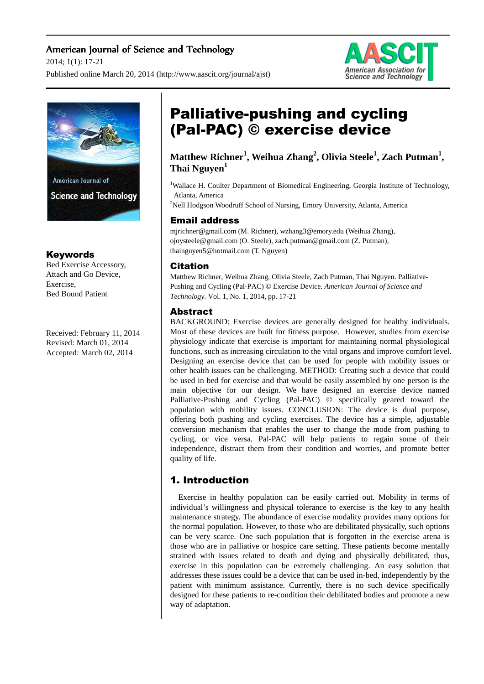## American Journal of Science and Technology

2014; 1(1): 17-21

Published online March 20, 2014 (http://www.aascit.org/journal/ajst)





## Keywords

Bed Exercise Accessory, Attach and Go Device, Exercise, Bed Bound Patient

Received: February 11, 2014 Revised: March 01, 2014 Accepted: March 02, 2014

# Palliative-pushing and cycling (Pal-PAC) © exercise device

# **Matthew Richner<sup>1</sup> , Weihua Zhang<sup>2</sup> , Olivia Steele<sup>1</sup> , Zach Putman<sup>1</sup> , Thai Nguyen<sup>1</sup>**

<sup>1</sup>Wallace H. Coulter Department of Biomedical Engineering, Georgia Institute of Technology, Atlanta, America

<sup>2</sup>Nell Hodgson Woodruff School of Nursing, Emory University, Atlanta, America

## Email address

mjrichner@gmail.com (M. Richner), wzhang3@emory.edu (Weihua Zhang), ojoysteele@gmail.com (O. Steele), zach.putman@gmail.com (Z. Putman), thainguyen5@hotmail.com (T. Nguyen)

## Citation

Matthew Richner, Weihua Zhang, Olivia Steele, Zach Putman, Thai Nguyen. Palliative-Pushing and Cycling (Pal-PAC) © Exercise Device. *American Journal of Science and Technology.* Vol. 1, No. 1, 2014, pp. 17-21

## Abstract

BACKGROUND: Exercise devices are generally designed for healthy individuals. Most of these devices are built for fitness purpose. However, studies from exercise physiology indicate that exercise is important for maintaining normal physiological functions, such as increasing circulation to the vital organs and improve comfort level. Designing an exercise device that can be used for people with mobility issues or other health issues can be challenging. METHOD: Creating such a device that could be used in bed for exercise and that would be easily assembled by one person is the main objective for our design. We have designed an exercise device named Palliative-Pushing and Cycling (Pal-PAC) © specifically geared toward the population with mobility issues. CONCLUSION: The device is dual purpose, offering both pushing and cycling exercises. The device has a simple, adjustable conversion mechanism that enables the user to change the mode from pushing to cycling, or vice versa. Pal-PAC will help patients to regain some of their independence, distract them from their condition and worries, and promote better quality of life.

## 1. Introduction

Exercise in healthy population can be easily carried out. Mobility in terms of individual's willingness and physical tolerance to exercise is the key to any health maintenance strategy. The abundance of exercise modality provides many options for the normal population. However, to those who are debilitated physically, such options can be very scarce. One such population that is forgotten in the exercise arena is those who are in palliative or hospice care setting. These patients become mentally strained with issues related to death and dying and physically debilitated, thus, exercise in this population can be extremely challenging. An easy solution that addresses these issues could be a device that can be used in-bed, independently by the patient with minimum assistance. Currently, there is no such device specifically designed for these patients to re-condition their debilitated bodies and promote a new way of adaptation.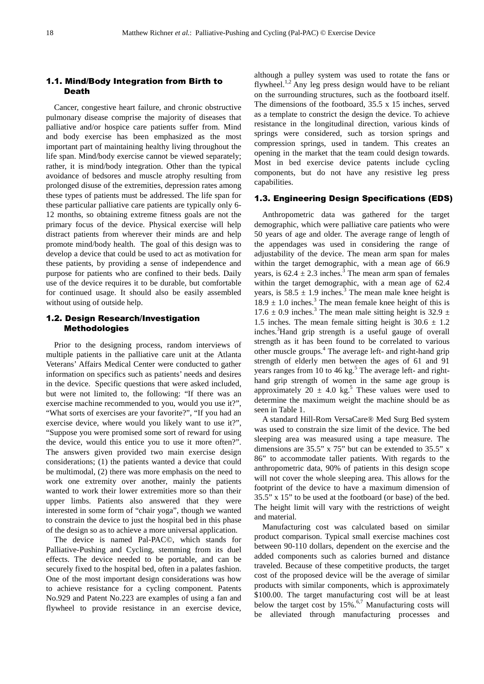#### 1.1. Mind/Body Integration from Birth to Death

Cancer, congestive heart failure, and chronic obstructive pulmonary disease comprise the majority of diseases that palliative and/or hospice care patients suffer from. Mind and body exercise has been emphasized as the most important part of maintaining healthy living throughout the life span. Mind/body exercise cannot be viewed separately; rather, it is mind/body integration. Other than the typical avoidance of bedsores and muscle atrophy resulting from prolonged disuse of the extremities, depression rates among these types of patients must be addressed. The life span for these particular palliative care patients are typically only 6- 12 months, so obtaining extreme fitness goals are not the primary focus of the device. Physical exercise will help distract patients from wherever their minds are and help promote mind/body health. The goal of this design was to develop a device that could be used to act as motivation for these patients, by providing a sense of independence and purpose for patients who are confined to their beds. Daily use of the device requires it to be durable, but comfortable for continued usage. It should also be easily assembled without using of outside help.

#### 1.2. Design Research/Investigation Methodologies

Prior to the designing process, random interviews of multiple patients in the palliative care unit at the Atlanta Veterans' Affairs Medical Center were conducted to gather information on specifics such as patients' needs and desires in the device. Specific questions that were asked included, but were not limited to, the following: "If there was an exercise machine recommended to you, would you use it?", "What sorts of exercises are your favorite?", "If you had an exercise device, where would you likely want to use it?", "Suppose you were promised some sort of reward for using the device, would this entice you to use it more often?". The answers given provided two main exercise design considerations; (1) the patients wanted a device that could be multimodal, (2) there was more emphasis on the need to work one extremity over another, mainly the patients wanted to work their lower extremities more so than their upper limbs. Patients also answered that they were interested in some form of "chair yoga", though we wanted to constrain the device to just the hospital bed in this phase of the design so as to achieve a more universal application.

The device is named Pal-PAC©, which stands for Palliative-Pushing and Cycling, stemming from its duel effects. The device needed to be portable, and can be securely fixed to the hospital bed, often in a palates fashion. One of the most important design considerations was how to achieve resistance for a cycling component. Patents No.929 and Patent No.223 are examples of using a fan and flywheel to provide resistance in an exercise device,

although a pulley system was used to rotate the fans or flywheel. $^{1,2}$  Any leg press design would have to be reliant on the surrounding structures, such as the footboard itself. The dimensions of the footboard, 35.5 x 15 inches, served as a template to constrict the design the device. To achieve resistance in the longitudinal direction, various kinds of springs were considered, such as torsion springs and compression springs, used in tandem. This creates an opening in the market that the team could design towards. Most in bed exercise device patents include cycling components, but do not have any resistive leg press capabilities.

#### 1.3. Engineering Design Specifications (EDS)

Anthropometric data was gathered for the target demographic, which were palliative care patients who were 50 years of age and older. The average range of length of the appendages was used in considering the range of adjustability of the device. The mean arm span for males within the target demographic, with a mean age of 66.9 years, is  $62.4 \pm 2.3$  inches.<sup>3</sup> The mean arm span of females within the target demographic, with a mean age of 62.4 years, is  $58.5 \pm 1.9$  inches.<sup>3</sup> The mean male knee height is  $18.9 \pm 1.0$  inches.<sup>3</sup> The mean female knee height of this is 17.6  $\pm$  0.9 inches.<sup>3</sup> The mean male sitting height is 32.9  $\pm$ 1.5 inches. The mean female sitting height is  $30.6 \pm 1.2$ inches.<sup>3</sup>Hand grip strength is a useful gauge of overall strength as it has been found to be correlated to various other muscle groups.<sup>4</sup> The average left- and right-hand grip strength of elderly men between the ages of 61 and 91 years ranges from 10 to 46 kg.<sup>5</sup> The average left- and righthand grip strength of women in the same age group is approximately 20  $\pm$  4.0 kg.<sup>5</sup> These values were used to determine the maximum weight the machine should be as seen in Table 1.

A standard Hill-Rom VersaCare® Med Surg Bed system was used to constrain the size limit of the device. The bed sleeping area was measured using a tape measure. The dimensions are 35.5" x 75" but can be extended to 35.5" x 86" to accommodate taller patients. With regards to the anthropometric data, 90% of patients in this design scope will not cover the whole sleeping area. This allows for the footprint of the device to have a maximum dimension of 35.5" x 15" to be used at the footboard (or base) of the bed. The height limit will vary with the restrictions of weight and material.

Manufacturing cost was calculated based on similar product comparison. Typical small exercise machines cost between 90-110 dollars, dependent on the exercise and the added components such as calories burned and distance traveled. Because of these competitive products, the target cost of the proposed device will be the average of similar products with similar components, which is approximately \$100.00. The target manufacturing cost will be at least below the target cost by  $15\%$ .<sup>6,7</sup> Manufacturing costs will be alleviated through manufacturing processes and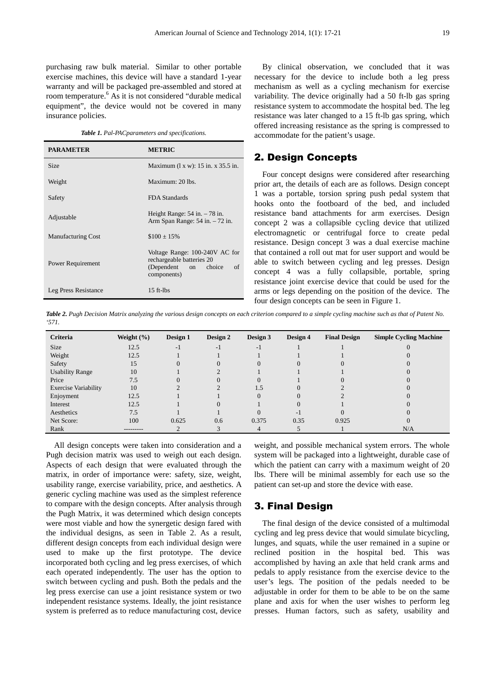purchasing raw bulk material. Similar to other portable exercise machines, this device will have a standard 1-year warranty and will be packaged pre-assembled and stored at room temperature.<sup>6</sup> As it is not considered "durable medical equipment", the device would not be covered in many insurance policies.

*Table 1. Pal-PACparameters and specifications.*

| <b>PARAMETER</b>          | <b>METRIC</b>                                                                                                  |  |  |  |
|---------------------------|----------------------------------------------------------------------------------------------------------------|--|--|--|
| <b>Size</b>               | Maximum $(1 x w)$ : 15 in. x 35.5 in.                                                                          |  |  |  |
| Weight                    | Maximum: $20$ lbs                                                                                              |  |  |  |
| Safety                    | FDA Standards                                                                                                  |  |  |  |
| Adjustable                | Height Range: $54$ in. $-78$ in.<br>Arm Span Range: 54 in. - 72 in.                                            |  |  |  |
| <b>Manufacturing Cost</b> | $$100 \pm 15\%$                                                                                                |  |  |  |
| Power Requirement         | Voltage Range: 100-240V AC for<br>rechargeable batteries 20<br>(Dependent<br>choice<br>of<br>on<br>components) |  |  |  |
| Leg Press Resistance      | $15$ ft-lbs                                                                                                    |  |  |  |

By clinical observation, we concluded that it was necessary for the device to include both a leg press mechanism as well as a cycling mechanism for exercise variability. The device originally had a 50 ft-lb gas spring resistance system to accommodate the hospital bed. The leg resistance was later changed to a 15 ft-lb gas spring, which offered increasing resistance as the spring is compressed to accommodate for the patient's usage.

## 2. Design Concepts

Four concept designs were considered after researching prior art, the details of each are as follows. Design concept 1 was a portable, torsion spring push pedal system that hooks onto the footboard of the bed, and included resistance band attachments for arm exercises. Design concept 2 was a collapsible cycling device that utilized electromagnetic or centrifugal force to create pedal resistance. Design concept 3 was a dual exercise machine that contained a roll out mat for user support and would be able to switch between cycling and leg presses. Design concept 4 was a fully collapsible, portable, spring resistance joint exercise device that could be used for the arms or legs depending on the position of the device. The four design concepts can be seen in Figure 1.

*Table 2. Pugh Decision Matrix analyzing the various design concepts on each criterion compared to a simple cycling machine such as that of Patent No. '571.* 

| Criteria                    | Weight $(\% )$ | Design 1 | Design 2                 | Design 3 | Design 4                 | <b>Final Design</b> | <b>Simple Cycling Machine</b> |
|-----------------------------|----------------|----------|--------------------------|----------|--------------------------|---------------------|-------------------------------|
| Size                        | 12.5           | $-1$     | $\overline{\phantom{0}}$ | - 1      |                          |                     |                               |
| Weight                      | 12.5           |          |                          |          |                          |                     |                               |
| Safety                      | 15             |          |                          |          |                          |                     |                               |
| <b>Usability Range</b>      | 10             |          |                          |          |                          |                     |                               |
| Price                       | 7.5            |          |                          |          |                          |                     |                               |
| <b>Exercise Variability</b> | 10             |          |                          | 1.5      | $\Omega$                 |                     |                               |
| Enjoyment                   | 12.5           |          |                          |          | $\Omega$                 |                     |                               |
| Interest                    | 12.5           |          |                          |          | $\Omega$                 |                     |                               |
| Aesthetics                  | 7.5            |          |                          |          | $\overline{\phantom{a}}$ |                     |                               |
| Net Score:                  | 100            | 0.625    | 0.6                      | 0.375    | 0.35                     | 0.925               |                               |
| Rank                        | ---------      |          |                          |          |                          |                     | N/A                           |

All design concepts were taken into consideration and a Pugh decision matrix was used to weigh out each design. Aspects of each design that were evaluated through the matrix, in order of importance were: safety, size, weight, usability range, exercise variability, price, and aesthetics. A generic cycling machine was used as the simplest reference to compare with the design concepts. After analysis through the Pugh Matrix, it was determined which design concepts were most viable and how the synergetic design fared with the individual designs, as seen in Table 2. As a result, different design concepts from each individual design were used to make up the first prototype. The device incorporated both cycling and leg press exercises, of which each operated independently. The user has the option to switch between cycling and push. Both the pedals and the leg press exercise can use a joint resistance system or two independent resistance systems. Ideally, the joint resistance system is preferred as to reduce manufacturing cost, device

weight, and possible mechanical system errors. The whole system will be packaged into a lightweight, durable case of which the patient can carry with a maximum weight of 20 lbs. There will be minimal assembly for each use so the patient can set-up and store the device with ease.

#### 3. Final Design

The final design of the device consisted of a multimodal cycling and leg press device that would simulate bicycling, lunges, and squats, while the user remained in a supine or reclined position in the hospital bed. This was accomplished by having an axle that held crank arms and pedals to apply resistance from the exercise device to the user's legs. The position of the pedals needed to be adjustable in order for them to be able to be on the same plane and axis for when the user wishes to perform leg presses. Human factors, such as safety, usability and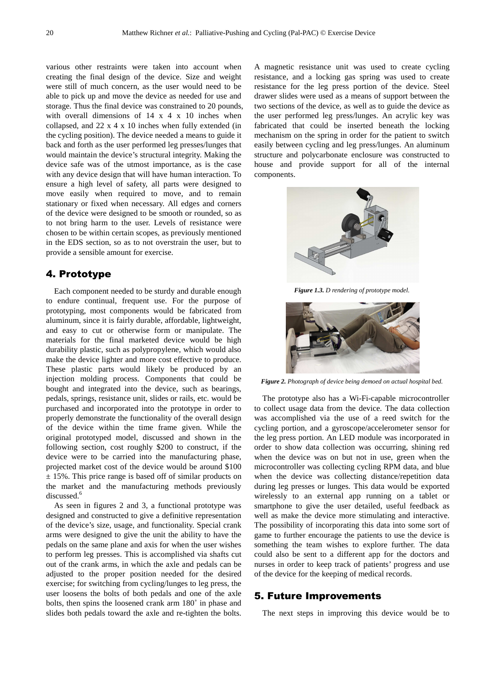various other restraints were taken into account when creating the final design of the device. Size and weight were still of much concern, as the user would need to be able to pick up and move the device as needed for use and storage. Thus the final device was constrained to 20 pounds, with overall dimensions of 14 x 4 x 10 inches when collapsed, and 22 x 4 x 10 inches when fully extended (in the cycling position). The device needed a means to guide it back and forth as the user performed leg presses/lunges that would maintain the device's structural integrity. Making the device safe was of the utmost importance, as is the case with any device design that will have human interaction. To ensure a high level of safety, all parts were designed to move easily when required to move, and to remain stationary or fixed when necessary. All edges and corners of the device were designed to be smooth or rounded, so as to not bring harm to the user. Levels of resistance were chosen to be within certain scopes, as previously mentioned in the EDS section, so as to not overstrain the user, but to provide a sensible amount for exercise.

### 4. Prototype

Each component needed to be sturdy and durable enough to endure continual, frequent use. For the purpose of prototyping, most components would be fabricated from aluminum, since it is fairly durable, affordable, lightweight, and easy to cut or otherwise form or manipulate. The materials for the final marketed device would be high durability plastic, such as polypropylene, which would also make the device lighter and more cost effective to produce. These plastic parts would likely be produced by an injection molding process. Components that could be bought and integrated into the device, such as bearings, pedals, springs, resistance unit, slides or rails, etc. would be purchased and incorporated into the prototype in order to properly demonstrate the functionality of the overall design of the device within the time frame given. While the original prototyped model, discussed and shown in the following section, cost roughly \$200 to construct, if the device were to be carried into the manufacturing phase, projected market cost of the device would be around \$100  $\pm$  15%. This price range is based off of similar products on the market and the manufacturing methods previously discussed.<sup>6</sup>

As seen in figures 2 and 3, a functional prototype was designed and constructed to give a definitive representation of the device's size, usage, and functionality. Special crank arms were designed to give the unit the ability to have the pedals on the same plane and axis for when the user wishes to perform leg presses. This is accomplished via shafts cut out of the crank arms, in which the axle and pedals can be adjusted to the proper position needed for the desired exercise; for switching from cycling/lunges to leg press, the user loosens the bolts of both pedals and one of the axle bolts, then spins the loosened crank arm 180˚ in phase and slides both pedals toward the axle and re-tighten the bolts.

A magnetic resistance unit was used to create cycling resistance, and a locking gas spring was used to create resistance for the leg press portion of the device. Steel drawer slides were used as a means of support between the two sections of the device, as well as to guide the device as the user performed leg press/lunges. An acrylic key was fabricated that could be inserted beneath the locking mechanism on the spring in order for the patient to switch easily between cycling and leg press/lunges. An aluminum structure and polycarbonate enclosure was constructed to house and provide support for all of the internal components.



*Figure 1.3. D rendering of prototype model.* 



*Figure 2. Photograph of device being demoed on actual hospital bed.* 

The prototype also has a Wi-Fi-capable microcontroller to collect usage data from the device. The data collection was accomplished via the use of a reed switch for the cycling portion, and a gyroscope/accelerometer sensor for the leg press portion. An LED module was incorporated in order to show data collection was occurring, shining red when the device was on but not in use, green when the microcontroller was collecting cycling RPM data, and blue when the device was collecting distance/repetition data during leg presses or lunges. This data would be exported wirelessly to an external app running on a tablet or smartphone to give the user detailed, useful feedback as well as make the device more stimulating and interactive. The possibility of incorporating this data into some sort of game to further encourage the patients to use the device is something the team wishes to explore further. The data could also be sent to a different app for the doctors and nurses in order to keep track of patients' progress and use of the device for the keeping of medical records.

#### 5. Future Improvements

The next steps in improving this device would be to